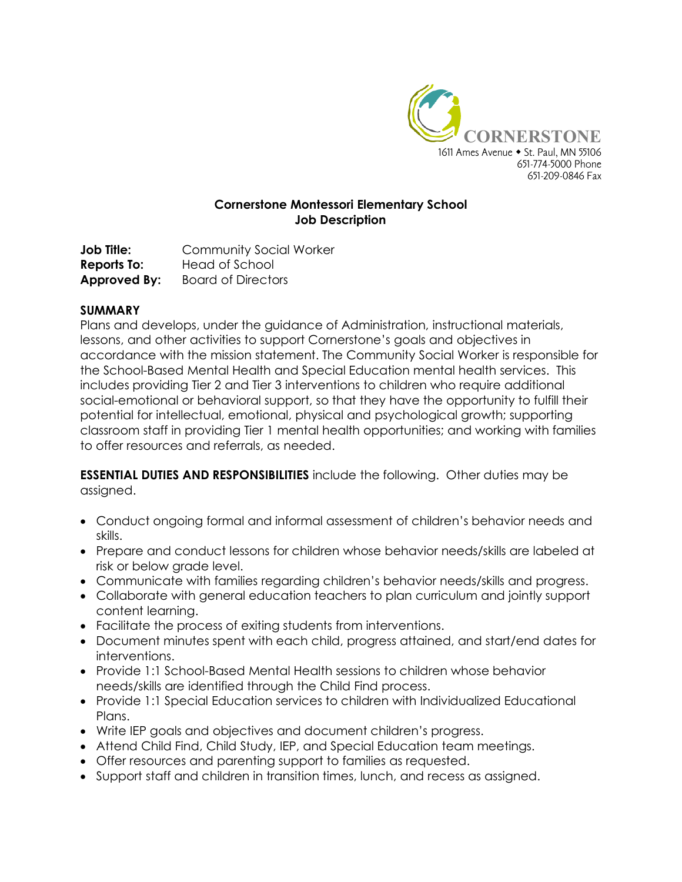

## **Cornerstone Montessori Elementary School Job Description**

**Job Title:** Community Social Worker **Reports To:** Head of School **Approved By:** Board of Directors

#### **SUMMARY**

Plans and develops, under the guidance of Administration, instructional materials, lessons, and other activities to support Cornerstone's goals and objectives in accordance with the mission statement. The Community Social Worker is responsible for the School-Based Mental Health and Special Education mental health services. This includes providing Tier 2 and Tier 3 interventions to children who require additional social-emotional or behavioral support, so that they have the opportunity to fulfill their potential for intellectual, emotional, physical and psychological growth; supporting classroom staff in providing Tier 1 mental health opportunities; and working with families to offer resources and referrals, as needed.

**ESSENTIAL DUTIES AND RESPONSIBILITIES** include the following. Other duties may be assigned.

- Conduct ongoing formal and informal assessment of children's behavior needs and skills.
- Prepare and conduct lessons for children whose behavior needs/skills are labeled at risk or below grade level.
- Communicate with families regarding children's behavior needs/skills and progress.
- Collaborate with general education teachers to plan curriculum and jointly support content learning.
- Facilitate the process of exiting students from interventions.
- Document minutes spent with each child, progress attained, and start/end dates for interventions.
- Provide 1:1 School-Based Mental Health sessions to children whose behavior needs/skills are identified through the Child Find process.
- Provide 1:1 Special Education services to children with Individualized Educational Plans.
- Write IEP goals and objectives and document children's progress.
- Attend Child Find, Child Study, IEP, and Special Education team meetings.
- Offer resources and parenting support to families as requested.
- Support staff and children in transition times, lunch, and recess as assigned.